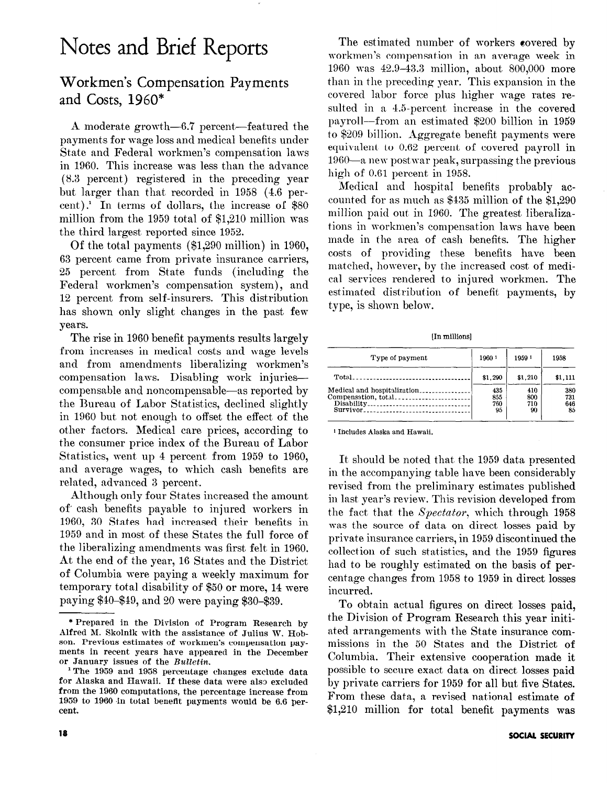# Notes and Brief Reports

## Workmen's Compensation Payments and Costs, 1960\*

A moderate growth-6.7 percent-featured the payments for wage loss and medical benefits under State and Federal workmen's compensation laws in 1960. This increase was less than the advance (8.3 percent) registered in the preceding year but larger than that recorded in 1958 (4.6 percent).' In terms of dollars, the increase of \$80 million from the 1959 total of \$1,210 million was the third largest reported since 1952.

Of the total payments (\$1,290 million) in 1960, 63 percent came from private insurance carriers, 25 percent from State funds (including the Federal workmen's compensation system), and 12 percent from self-insurers. This distribution has shown only slight changes in the past few years.

The rise in 1960 benefit payments results largely from increases in medical costs and wage levels and from amendments liberalizing workmen's compensation laws. Disabling work injuriescompensable and noncompensable-as reported by the Bureau of Labor Statistics, declined slightly in 1960 but not enough to offset the effect of the other factors. Medical care prices, according to the consumer price index of the Bureau of Labor Statistics, went up 4 percent from 1959 to 1960, and average wages, to which cash benefits are related, advanced 3 percent,.

Although only four States increased the amount of cash benefits payable to injured workers in 1960, 30 States had increased their benefits in 1959 and in most of these States the full force of the liberalizing amendments was first felt in 1960. At the end of the year, 16 States and the District of Columbia were paying a weekly maximum for temporary total disability of \$50 or more, 14 were paying \$40-\$49, and 20 were paying \$30~\$39.

The estimated number of workers eovered by workmen's compensation in an average week in 1960 was 42.9-43.3 million, about 800,000 more than in the preceding year. This expansion in the covered labor force plus higher wage rates resulted in a 4.5.percent increase in the covered payroll--from an estimated \$200 billion in 1959 to \$209 billion. Aggregate benefit payments were equivalent to 0.62 percent of covered payroll in 1960-a new postwar peak, surpassing the previous high of 0.61 percent in 1958.

Medical and hospita1 benefits probably accounted for as much as \$435 million of the \$1,290 million paid out in 1960. The greatest liberalizations in workmen's compensation laws have been made in the area of cash benefits. The higher costs of providing these benefits have been matched, however, by the increased cost of medical services rendered to injured workmen. The estimated distribution of benefit payments, by type, is shown below.

tm millions]

| Type of payment             | 1960 1     | 1959 1     | 1958       |
|-----------------------------|------------|------------|------------|
|                             | \$1.290    | \$1.210    | \$1,111    |
| Medical and hospitalization | 435        | 410        | 380        |
| Compensation, total         | 855<br>760 | 800<br>710 | 731<br>646 |
| Survivor                    | 95         | 90         | 85         |

1 Includes Alaska and Hawaii.

It should be noted that the 1959 data presented in the accompanying table have been considerably revised from the preliminary estimates published in last year's review. This revision developed from the fact that the Spectator, which through 1958 was the source of data on direct losses paid by private insurance carriers, in 1959 discontinued the collection of such statistics, and the 1959 figures had to be roughly estimated on the basis of percentage changes from 1958 to 1959 in direct losses incurred.

To obtain actual figures on direct losses paid, the Division of Program Research this year initiated arrangements with the State insurance commissions in the 50 States and the District of Columbia. Their extensive cooperation made it possible to secure exact data on direct losses paid by private carriers for 1959 for all but five States. From these data, a revised national estimate of \$1,210 million for total benefit payments was

<sup>\*</sup> Prepared in the Division of Program Research by Alfred M. Bkolnik with the assistance of Julius W. Hobson. Previous estimates of workmen's compensation payments in recent years have appeared in the December or January issues of the Bulletin.

<sup>1</sup> The 1959 and 1958 percentage changes exclude data for Alaska and Hawaii. If these data were also excluded from the 1960 computations, the percentage increase from 1959 to 1960 in total benefit payments would be 6.6 percent.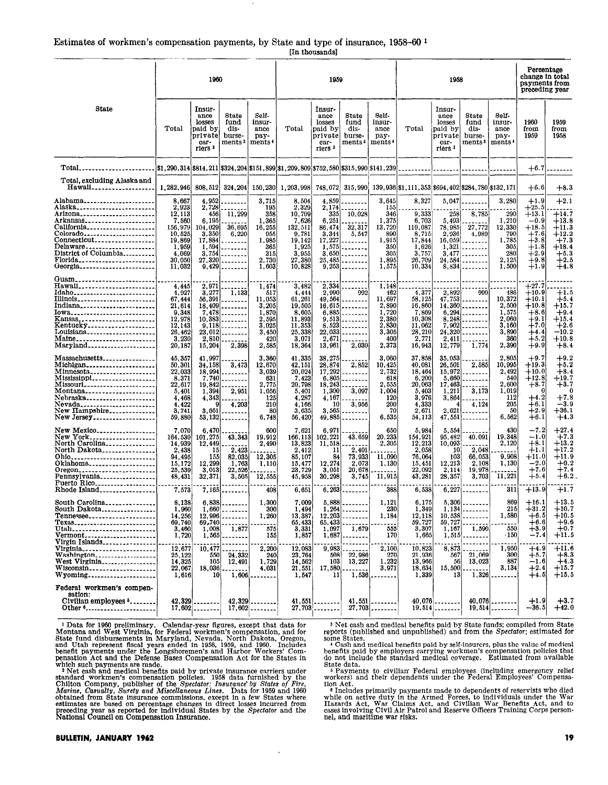#### Estimates of workmen's compensation payments, by State and type of insurance, 1958-60<sup>1</sup> [In thousands]

|                                                                                                                                                                                                                                                                                                                                   | 1960                                                                                                        |                                                                                 |                                                                                      |                                                                                        |                                                                                                       | 1959                                                                                                  |                                                                            |                                                                                        | 1958                                                                                        |                                                                                         |                                                                  |                                                                                 | Percentage<br>change in total<br>payments from<br>preceding year                                                                      |                                                                                                                                            |
|-----------------------------------------------------------------------------------------------------------------------------------------------------------------------------------------------------------------------------------------------------------------------------------------------------------------------------------|-------------------------------------------------------------------------------------------------------------|---------------------------------------------------------------------------------|--------------------------------------------------------------------------------------|----------------------------------------------------------------------------------------|-------------------------------------------------------------------------------------------------------|-------------------------------------------------------------------------------------------------------|----------------------------------------------------------------------------|----------------------------------------------------------------------------------------|---------------------------------------------------------------------------------------------|-----------------------------------------------------------------------------------------|------------------------------------------------------------------|---------------------------------------------------------------------------------|---------------------------------------------------------------------------------------------------------------------------------------|--------------------------------------------------------------------------------------------------------------------------------------------|
| State                                                                                                                                                                                                                                                                                                                             | Total                                                                                                       | Insur-<br>ance<br>losses<br>paid by<br>private<br>car-<br>riers <sup>2</sup>    | State<br>fund<br>dis-<br>burse-<br>ments <sup>3</sup>                                | Self-<br>insur-<br>ance<br>pay-<br>ments <sup>4</sup>                                  | Total                                                                                                 | Insur-<br>ance<br>losses<br>paid by<br>private<br>car-<br>riers <sup>2</sup>                          | State<br>fund<br>dis-<br>burse-<br>ments <sup>3</sup>                      | Self-<br>insur-<br>ance<br>pay-<br>ments <sup>4</sup>                                  | Total                                                                                       | Insur-<br>ance<br>losses<br>paid by<br>private<br>car-<br>riers <sup>2</sup>            | State<br>fund<br>dis-<br>burse-<br>ments 3                       | Self-<br>insur-<br>ance<br>pay-<br>ments <sup>4</sup>                           | 1960<br>from<br>1959                                                                                                                  | 1959<br>from<br>1958                                                                                                                       |
| Total_______________________                                                                                                                                                                                                                                                                                                      | $ 1, 290, 314 $ \$814, 211   \$324, 204   \$151, 899   \$1, 209, 809   \$752, 580   \$315, 990   \$141, 239 |                                                                                 |                                                                                      |                                                                                        |                                                                                                       |                                                                                                       |                                                                            |                                                                                        |                                                                                             |                                                                                         |                                                                  |                                                                                 | $+6.7$                                                                                                                                |                                                                                                                                            |
| Total, excluding Alaska and<br>Hawali                                                                                                                                                                                                                                                                                             | 1,282,946                                                                                                   | 808,512                                                                         | 324,204                                                                              | 150,230                                                                                | 1,203,998                                                                                             | 748,072                                                                                               | 315,990                                                                    |                                                                                        | 139, 936 \$1, 111, 353 \$694, 402 \$284, 780 \$132, 171                                     |                                                                                         |                                                                  |                                                                                 | $+6.6$                                                                                                                                | $+8.3$                                                                                                                                     |
| Alabama____________________<br>Alaska________________________<br>California                                                                                                                                                                                                                                                       | 8,667<br>2,923<br>12,113<br>7,560<br>156,979<br>10,525<br>19,869<br>1,959<br>4,069<br>30,050<br>11,032      | 4.952<br>2,728<br>456<br>6,195<br>104,029<br>3,350<br>17,884<br>1,594<br>27,320 | 11,299<br>36,695<br>6,220<br>--------<br>.<br>$3,754$<br><br>$9,429$                 | 3,715<br>195<br>358<br>1,365<br>16,255<br>955<br>1,985<br>365<br>315<br>2,730<br>1,603 | 8,504<br>2,329<br>10,709<br>7,626<br>132,511<br>9,781<br>19,142<br>1,925<br>3,955<br>27,380<br>10,828 | 4,859<br>2,174<br>335<br>6.251<br>86,474<br>3,344<br>17,227<br>25,485<br>9,253                        | 10,028<br>32,317<br>5,547<br><br>$1,575$<br>$3,650$<br>--------<br><b></b> | 3,645<br>155<br>346<br>1,375<br>13,720<br>890<br>1,915<br>350<br>305<br>1,895<br>1,575 | 8,327<br>9,333<br>6,703<br>119,087<br>8,715<br>17,844<br>1,626<br>3,757<br>26,709<br>10,334 | 5,047<br>258<br>5,493<br>78,985<br>2,936<br>16,059<br>3,477                             | 8,785<br>27,772<br>4,989<br>--------<br>$1,321$<br><br>$24,584$  | 3,280<br>290<br>1,210<br>12,330<br>790<br>1,785<br>305<br>280<br>2,125<br>1,500 | $^{+1.9}$<br>$+25.5$<br>$+13.1$<br>$-0.9$<br>$+18.5$<br>$^{\rm +7.6}$<br>$^{+3.8}$<br>$^{+1.8}$<br>$^{+2.9}$<br>$^{+9.8}_{+1.9}$      | $^{+2.1}$<br>$+14.7$<br>$+13.8$<br>$+11.3$<br>$\bf+12.2$<br>$+7.3$<br>+18.4<br>$+5.\overline{3}$<br>$+2.\overline{5}$<br>$+4.\overline{8}$ |
| Hawaii<br>Indiana_______________________<br>Iowa<br>Kansas<br>Kentucky<br>Hentucky<br>Louisiana<br>Mansas<br>Louisiana<br>Mansas<br>Louisiana<br>Mansas<br>Louisiana<br>Mansas<br>Louisiana<br>Mansas<br>Louisiana<br>Mansas<br>Louisiana<br>Mansas<br>Louisiana<br>Louisiana<br>Louisiana<br>Louisiana<br>Louisiana<br>Louisi    | 4.445<br>4,927<br>67,444<br>21,614<br>9,348<br>12,978<br>12,143<br>26,462<br>3,230<br>20.187                | 2,971<br>3,277<br>2,810<br>15,204                                               | 1,133<br>$56,391$<br>$18,409$<br>$7.478$<br>$10.383$<br>$9,118$<br>$23,012$<br>2,398 | 1,474<br>517<br>11,053<br>3,205<br>1.870<br>2.595<br>3,025<br>3,450<br>420<br>2,585    | 3,482<br>4,444<br>61,261<br>19,505<br>8,605<br>11,893<br>11,353<br>25,338<br>3,071<br>18,364          | 2,334<br>2,990<br>49,564<br>2,671<br>13,961                                                           | <br>992<br>$16,615$<br>$6,885$<br>$9,513$<br>$8,523$<br>$22,033$<br>2,030  | 1,148<br>462<br>11,697<br>2,890<br>1,720<br>2,380<br>2,830<br>3,305<br>400<br>2,373    | 4,377<br>58,125<br>16,860<br>7,869<br>10,308<br>11,062<br>28,210<br>2,771<br>16,943         | 2,892<br>47,753<br>14,360<br>6,294<br>7,902<br>24,320<br>2,411<br>12,779                | 999<br>.<br>--------<br><br>$8.248$<br>--------<br><br>1,774     | 486<br>10,372<br>2,500<br>1,575<br>2,060<br>3,160<br>3,890<br>360<br>2,390      | $\scriptstyle{\pm 27.7}$<br>$+10.9$<br>$+10.1$<br>$+10.8$<br>$^{+8.6}$<br>$^{\rm +9.1}$<br>$+7.0$<br>$^{+4.4}$<br>$+5.2$<br>$^{+9.9}$ | $^{+1.5}_{+5.4}$<br>$+15.7$<br>$^{\rm +9.4}$<br>$+15.4$<br>$^{+2.6}$<br>$-10.2$<br>$+10.8$<br>$+8.4$                                       |
| Massachusetts <sub>----------------</sub><br>$M$ ichigan<br>Montana<br>Nebraska<br>Nebraska<br>New Hampshire<br>New Hampshire<br>New Jersey<br>New Jersey<br>New Jersey                                                                                                                                                           | 45,357<br>50,301<br>22,033<br>8,371<br>22,617<br>5,401<br>4,468<br>4,422<br>3,741<br>59,880                 | 41.997<br>34,158<br>18,994<br>7.740<br>19,842<br>1 394<br>4,343<br>91           | 3,473<br>.<br>.<br>2,951<br>4,203<br>$3,661$<br>$53,132$                             | 3,360<br>12,670<br>3,039<br>631<br>2,775<br>1,056<br>125<br>210<br>80<br>6,748         | 41,335<br>42, 151<br>20,024<br>7.423<br>20,798<br>5,401<br>4,287<br>4.166<br>3,635<br>56,420          | 38,275<br>28,874<br>17,292<br>6.805<br>18,243<br>1,300<br>4,167<br>10 <sub>1</sub><br>3,565<br>49,885 | 2,852<br>-------<br>.<br>3,097<br>3.956<br>-------<br>-------              | 3,060<br>10,425<br>2,732<br>618<br>2,555<br>1,004<br>120<br>200<br>70<br>6,535         | 37,858<br>40,081<br>18,464<br>6,200<br>20,063<br>5,403<br>3,976<br>4,333<br>2,671<br>54,113 | 35,053<br>26,501<br>15,972<br>5.660<br>17,463<br>1,211<br>3,864<br>4<br>2,621<br>47,551 | 2,585<br>------<br>.<br>3,173<br>4,124<br>------<br>.            | 2,805<br>10,995<br>2,492<br>540<br>2,600<br>1,019<br>112<br>205<br>50<br>6,562  | $^{+9.7}$<br>$+19.3$<br>$+10.0$<br>$+12.8$<br>$+8.7$<br>$\Omega$<br>$+4.2$<br>$+6.1$<br>$^{+2.9}$<br>$+6.1$                           | $^{+9.2}$<br>$+5.2$<br>$+8.4$<br>$+19.7$<br>$^{+3.7}$<br>$\Omega$<br>$+7.8$<br>$-3.9$<br>$+36.1$<br>$^{+4.3}$                              |
|                                                                                                                                                                                                                                                                                                                                   | 7,070<br>164,530<br>14,939<br>2,438<br>94.495<br>15,172<br>25.539<br>48, 431<br>7,573                       | 6.470<br>101,275<br>12,449<br>15<br>155<br>12,299<br>3,013<br>32,371            | 43,343<br>2.423<br>82,035<br>1,763<br>22,526<br>3,505<br>$7,165$                     | 600<br>19,912<br>2,490<br>12,305<br>1,110<br>12,555<br>408                             | 7,621<br>166,113<br>13,823<br>2,412<br>85,107<br>15,477<br>23,729<br>45,958<br>6,651                  | 6,971<br>102,221<br>11,518<br>11<br>84<br>12,274<br>3,051<br>30,298                                   | 43,659<br>2,401<br>73.933<br>2,073<br>20,678<br>3,745<br>$6,263$           | 650<br>20,233<br>2,305<br>11,090<br>1,130<br>11,915<br>388                             | 5,984<br>154,921<br>12,213<br>2,058<br>76,064<br>15,451<br>22,092<br>43,281<br>6,538        | 5,554<br>95,482<br>10,093<br>-10<br>103<br>12,213<br>2.114<br>28,357                    | 40,091<br>2,048<br>66.053<br>2.108<br>19,978<br>3,703<br>$6,227$ | 430<br>19,348<br>2,120<br>9,908<br>1,130<br>11,221<br>311                       | $^{-7.2}$<br>$-1.0$<br>$+8.1$<br>$+1.1$<br>$+11.0$<br>$^{-2.0}$<br>$+7.6$<br>$+5.4$<br>$+13.9$                                        | $+27.4$<br>$+7.3$<br>$^{+13.2}$<br>$+17.2$<br>$^{+11.9}$<br>$^{+0.2}_{+7.4}$<br>$^{\rm +6.2}$<br>$+1.7$                                    |
| South Carolina<br>South Dakota<br>Tennessee<br>Texas<br>Utah <sub>-----</sub> ---------------------<br>Vermont,<br>Virgin Islands                                                                                                                                                                                                 | 8,138<br>1,960<br>14.256<br>69,740<br>3,460<br>1,720                                                        | 6.838.<br>1,008<br>1,565                                                        | .<br>$1,660$<br>$12.996$<br>$69,740$<br>1,877<br>--------                            | 1,300<br>300<br>1,260<br>575<br>155                                                    | 7,009<br>1,494<br>13,387<br>65,433<br>3,331<br>1,857                                                  | 5.888<br>12,203<br>65,433<br>1,097<br>1,687                                                           | .<br>$1.264$<br>. <b>.</b> .<br>1,679<br>                                  | 1.121<br>230<br>1,184<br>555<br>170                                                    | 6.175<br>1,349<br>12,118<br>59,727<br>3,307<br>1,665                                        | 5.306<br>10 538<br>59.727<br>1,167<br>1,515                                             | $1.134$<br>.<br>1,590<br>--------                                | 869<br>215<br>1,580<br>550<br>$\cdot$ 150                                       | $+16.1$<br>$+31.2$<br>$+6.5$<br>—6.6 <br>$+3.9$<br>$-7.4$                                                                             | $+13.5$<br>$+10.7$<br>$+10.5$<br>$+9.6$<br>$^{+0.7}$<br>$+11.5$                                                                            |
| Virginia_____________________<br>Washington<br>West Virginia<br>Wisconsin<br>Wyoming                                                                                                                                                                                                                                              | 12,677<br>25, 122<br>14, 325<br>22,067<br>1,616                                                             | 10,477<br>550<br>105<br>18,036<br>10 <sub>l</sub>                               | 24,332<br>12,491<br>1,606                                                            | 2,200<br>240<br>1,729<br>4,031                                                         | 12,083<br>23,764<br>14,562<br>21,551<br>1,547                                                         | 9,983<br>508<br>103<br>17,580<br>11                                                                   | 22,986<br>13,227<br>1,536                                                  | 2,100<br>270<br>1,232<br>3,971                                                         | 10,823<br>21,936<br>13,966<br>18,634<br>1,339                                               | 8,873<br>$\substack{567 \\ 56}$<br>15,500<br>13                                         | 21,069<br>13,023<br>1,326                                        | 1,950<br>300<br>887<br>3,134                                                    | $^{+4.9}_{+5.7}$<br>$-1.6$<br>$+2.4$<br>$+4.5$                                                                                        | $+11.6$<br>$+8.3$<br>$+4.3$<br>$+15.7$<br>$+15.5$                                                                                          |
| Federal workmen's compen-<br>sation:<br>Civilian employees 5<br>Other 6                                                                                                                                                                                                                                                           | 42,329                                                                                                      | $17,602$                                                                        | 42,329                                                                               | $17,602$                                                                               | 41,551                                                                                                | $27,703$                                                                                              | 41,551                                                                     | $27,703$                                                                               | 40,076<br>19,514                                                                            |                                                                                         | 40,076                                                           | $19,514$                                                                        | $+1.9$<br>$-36.5$                                                                                                                     | $^{\bf +3.7}$<br>$+42.0$                                                                                                                   |
| <sup>1</sup> Data for 1960 preliminary. Calendar-year figures, except that data for<br><sup>3</sup> Net cash and medical benefits paid by State funds; compiled from State<br>Montana and West Virginia, for Federal workmen's compensation, and for<br>reports (published and unpublished) and from the Spectator; estimated for |                                                                                                             |                                                                                 |                                                                                      |                                                                                        |                                                                                                       |                                                                                                       |                                                                            |                                                                                        |                                                                                             |                                                                                         |                                                                  |                                                                                 |                                                                                                                                       |                                                                                                                                            |

Figure 1980 preliminary. Calendar-vear figures, except that data for Montana and West Virginia, for Federal workmen's compensation, and for State fund disbursements in Maryland, Nevada, North Dakota, Oregon, and Utah repre

 $\ddot{\phantom{0}}$ 

tion Act. and recovering the intervals made to dependents of reservists who died<br>while on active duty in the Armed Forces, to individuals under the War<br>Kasket, War Claims Act, and Civilian War Benefits Act, and to<br>cases involving Ci nel, and maritime war risks.

some States.<br>
"Cash and medical benefits paid by self-insurers, plus the value of medical benefits paid by employers carrying workmen's compensation policies that do not include the standard medical coverage. Estimated from available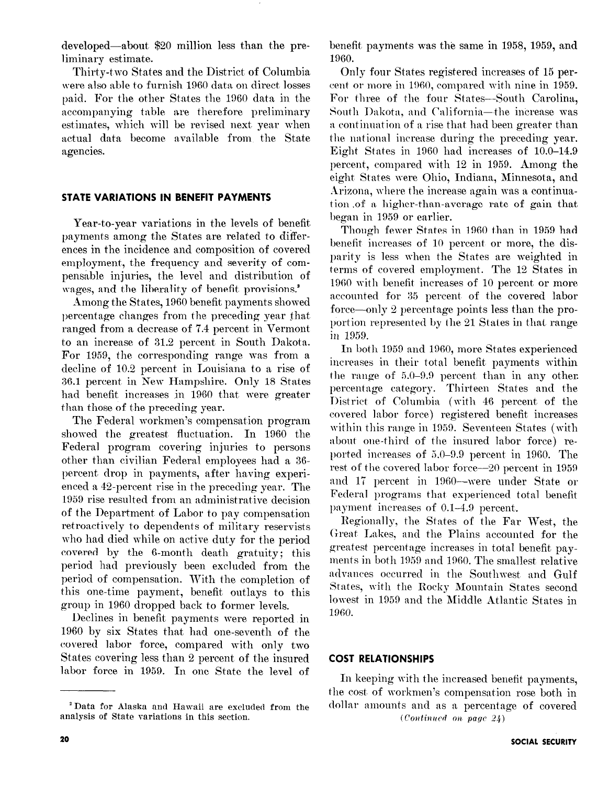developed-about \$20 million less than the preliminary estimate.

Thirty-two States and the District of Columbia were also able to furnish 1960 data on direct losses paid. For the other States the 1960 data in the accompanying table are therefore preliminary estimates, which will be revised next, year when actual data become available from the State agencies.

#### STATE VARIATIONS IN BENEFIT PAYMENTS

Year-to-year variations in the levels of benefit payments among the States are related to differences in the incidence and composition of covered employment, the frequency and severity of compensable injuries, the level and distribution of wages, and the liberality of benefit provisions.'

Among the States, 1960 benefit payments showed percentage changes from the preceding year that ranged from a decrease of 7.4 percent in Vermont to an increase of 31.2 percent in South Dakota. For 1959, the corresponding range was from a decline of 10.2 percent in Louisiana to a rise of 36.1 percent in New Hampshire. Only 18 States had benefit increases in 1960 that were greater than those of the preceding year.

The Federal workmen's compensation program showed the greatest fluctuation. In  $1960$  the Federal program covering injuries to persons other than civilian Federal employees had a 36 percent drop in payments, after having experienced a 42-percent rise in the preceding year. The 1959 rise resulted from an administrative decision of the Department of Labor to pay compensation retroactively to dependents of military reservists who had died while on active duty for the period covered by the 6-month death gratuity; this period had previously been excluded from the period of compensation. With the completion of this one-time payment, benefit outlays to this group in 1960 dropped back to former levels.

Declines in benefit payments were reported in 1960 by six States that had one-seventh of the covered labor force, compared with only two States covering less than 2 percent of the insured labor force in 1959. In one State the level of

benefit, payments was the same in 1958, 1959, and 1960.

Only four States registered increases of 15 percent or more in 1960, compared with nine in 1959. For three of the four States-South Carolina, South Dakota, and California-the increase was a continuation of a rise that had been greater than the national increase during the preceding year. Eight States in 1960 had increases of 10.0-14.9 percent, compared with 12 in 1959. Among the eight States were Ohio, Indiana, Minnesota, and Arizona, where the increase again was a continuation .of a higher-than-average rate of gain that began in 1959 or earlier.

Though fewer States in 1960 than in 1959 had benefit increases of 10 percent or more, the disparity is less when the States are weighted in terms of covered employment. The 12 States in 1960 with benefit increases of 10 percent or more accounted for 35 percent of the covered labor force—only 2 percentage points less than the proportion represented by the 21 States in that range in 1959.

In both 1959 and 1960, more States experienced increases in their total benefit payments within the range of 5.0-9.9 percent than in any other. percentage category. Thirteen States and the District of Columbia (with 46 percent of the covered labor force) registered benefit increases within this range in 1959. Seventeen States (with about one-third of the insured labor force) reported increases of 5.0-9.9 percent in 1960. The rest of the covered labor force-20 percent in 1959 and 17 percent in 1960-were under State or Federal programs that experienced total benefit payment increases of 0.1-4.9 percent.

Regionally, the States of the Far West, the Great Lakes, and the Plains accounted for the greatest percentage increases in total benefit payments in both 1959 and 1960. The smallest relative advances occurred in the Southwest and Gulf States, with the Rocky Mountain States second lowest in 1959 and the Middle Atlantic States in 1960.

#### COST RELATIONSHIPS

In keeping with the increased benefit payments, the cost. of workmen's compensation rose both in dollar amounts and as a percentage of covered  $(Continued ~on ~page~24)$ 

<sup>&</sup>lt;sup>2</sup> Data for Alaska and Hawaii are excluded from the analysis of State variations in this section.